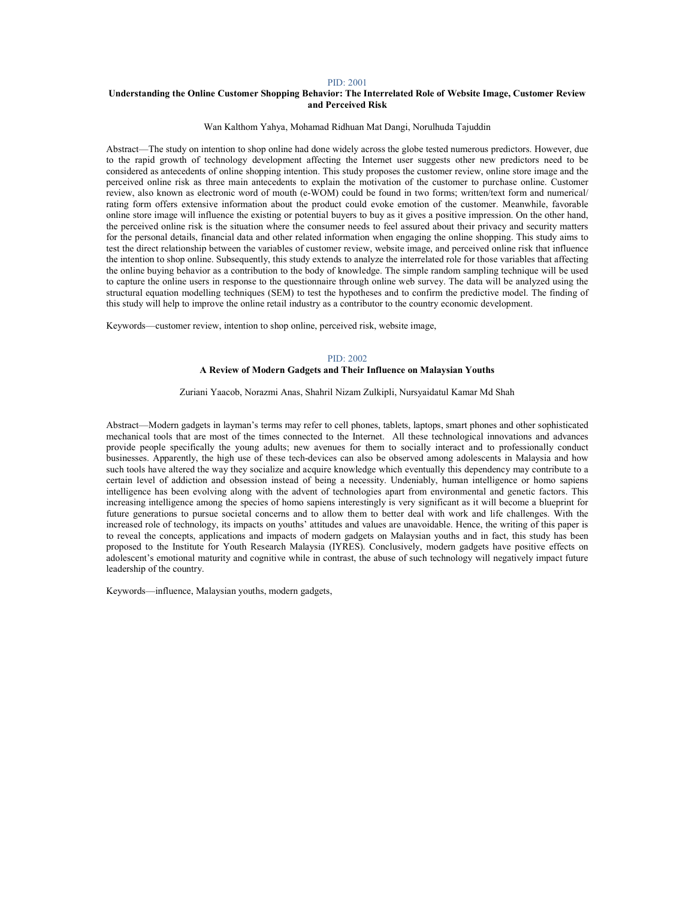# Understanding the Online Customer Shopping Behavior: The Interrelated Role of Website Image, Customer Review and Perceived Risk

#### Wan Kalthom Yahya, Mohamad Ridhuan Mat Dangi, Norulhuda Tajuddin

Abstract—The study on intention to shop online had done widely across the globe tested numerous predictors. However, due to the rapid growth of technology development affecting the Internet user suggests other new predictors need to be considered as antecedents of online shopping intention. This study proposes the customer review, online store image and the perceived online risk as three main antecedents to explain the motivation of the customer to purchase online. Customer review, also known as electronic word of mouth (e-WOM) could be found in two forms; written/text form and numerical/ rating form offers extensive information about the product could evoke emotion of the customer. Meanwhile, favorable online store image will influence the existing or potential buyers to buy as it gives a positive impression. On the other hand, the perceived online risk is the situation where the consumer needs to feel assured about their privacy and security matters for the personal details, financial data and other related information when engaging the online shopping. This study aims to test the direct relationship between the variables of customer review, website image, and perceived online risk that influence the intention to shop online. Subsequently, this study extends to analyze the interrelated role for those variables that affecting the online buying behavior as a contribution to the body of knowledge. The simple random sampling technique will be used to capture the online users in response to the questionnaire through online web survey. The data will be analyzed using the structural equation modelling techniques (SEM) to test the hypotheses and to confirm the predictive model. The finding of this study will help to improve the online retail industry as a contributor to the country economic development.

Keywords—customer review, intention to shop online, perceived risk, website image,

## PID: 2002 A Review of Modern Gadgets and Their Influence on Malaysian Youths

## Zuriani Yaacob, Norazmi Anas, Shahril Nizam Zulkipli, Nursyaidatul Kamar Md Shah

Abstract—Modern gadgets in layman's terms may refer to cell phones, tablets, laptops, smart phones and other sophisticated mechanical tools that are most of the times connected to the Internet. All these technological innovations and advances provide people specifically the young adults; new avenues for them to socially interact and to professionally conduct businesses. Apparently, the high use of these tech-devices can also be observed among adolescents in Malaysia and how such tools have altered the way they socialize and acquire knowledge which eventually this dependency may contribute to a certain level of addiction and obsession instead of being a necessity. Undeniably, human intelligence or homo sapiens intelligence has been evolving along with the advent of technologies apart from environmental and genetic factors. This increasing intelligence among the species of homo sapiens interestingly is very significant as it will become a blueprint for future generations to pursue societal concerns and to allow them to better deal with work and life challenges. With the increased role of technology, its impacts on youths' attitudes and values are unavoidable. Hence, the writing of this paper is to reveal the concepts, applications and impacts of modern gadgets on Malaysian youths and in fact, this study has been proposed to the Institute for Youth Research Malaysia (IYRES). Conclusively, modern gadgets have positive effects on adolescent's emotional maturity and cognitive while in contrast, the abuse of such technology will negatively impact future leadership of the country.

Keywords—influence, Malaysian youths, modern gadgets,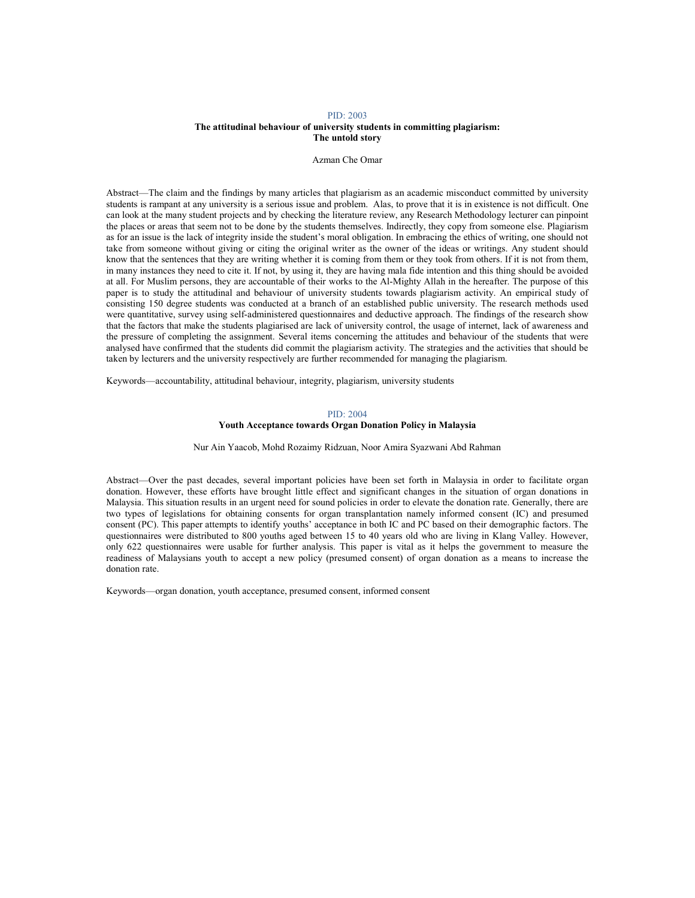## PID: 2003 The attitudinal behaviour of university students in committing plagiarism: The untold story

### Azman Che Omar

Abstract—The claim and the findings by many articles that plagiarism as an academic misconduct committed by university students is rampant at any university is a serious issue and problem. Alas, to prove that it is in existence is not difficult. One can look at the many student projects and by checking the literature review, any Research Methodology lecturer can pinpoint the places or areas that seem not to be done by the students themselves. Indirectly, they copy from someone else. Plagiarism as for an issue is the lack of integrity inside the student's moral obligation. In embracing the ethics of writing, one should not take from someone without giving or citing the original writer as the owner of the ideas or writings. Any student should know that the sentences that they are writing whether it is coming from them or they took from others. If it is not from them, in many instances they need to cite it. If not, by using it, they are having mala fide intention and this thing should be avoided at all. For Muslim persons, they are accountable of their works to the Al-Mighty Allah in the hereafter. The purpose of this paper is to study the attitudinal and behaviour of university students towards plagiarism activity. An empirical study of consisting 150 degree students was conducted at a branch of an established public university. The research methods used were quantitative, survey using self-administered questionnaires and deductive approach. The findings of the research show that the factors that make the students plagiarised are lack of university control, the usage of internet, lack of awareness and the pressure of completing the assignment. Several items concerning the attitudes and behaviour of the students that were analysed have confirmed that the students did commit the plagiarism activity. The strategies and the activities that should be taken by lecturers and the university respectively are further recommended for managing the plagiarism.

Keywords—accountability, attitudinal behaviour, integrity, plagiarism, university students

# PID: 2004

# Youth Acceptance towards Organ Donation Policy in Malaysia

Nur Ain Yaacob, Mohd Rozaimy Ridzuan, Noor Amira Syazwani Abd Rahman

Abstract—Over the past decades, several important policies have been set forth in Malaysia in order to facilitate organ donation. However, these efforts have brought little effect and significant changes in the situation of organ donations in Malaysia. This situation results in an urgent need for sound policies in order to elevate the donation rate. Generally, there are two types of legislations for obtaining consents for organ transplantation namely informed consent (IC) and presumed consent (PC). This paper attempts to identify youths' acceptance in both IC and PC based on their demographic factors. The questionnaires were distributed to 800 youths aged between 15 to 40 years old who are living in Klang Valley. However, only 622 questionnaires were usable for further analysis. This paper is vital as it helps the government to measure the readiness of Malaysians youth to accept a new policy (presumed consent) of organ donation as a means to increase the donation rate.

Keywords—organ donation, youth acceptance, presumed consent, informed consent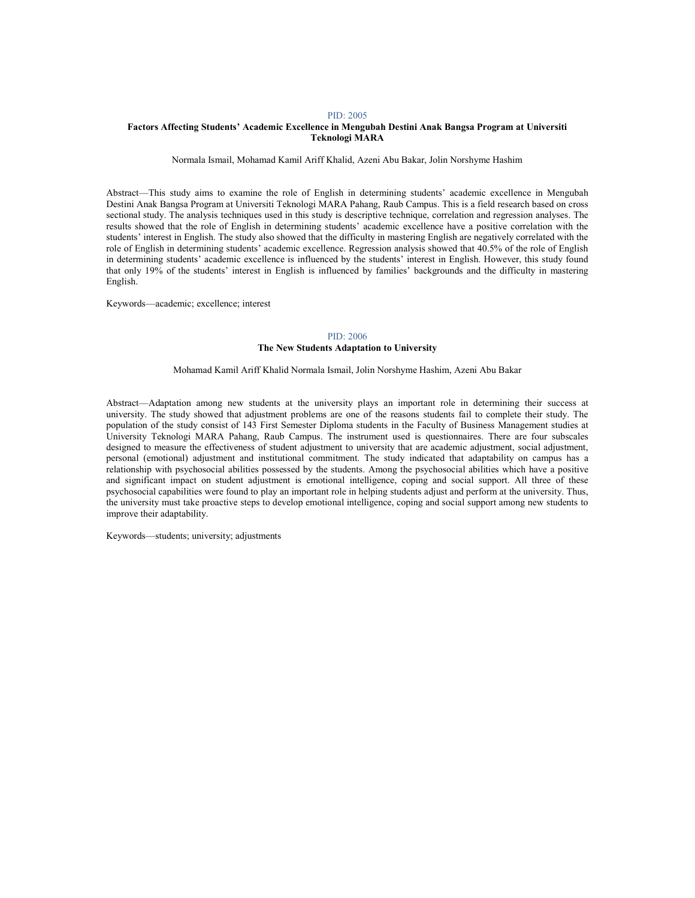## Factors Affecting Students' Academic Excellence in Mengubah Destini Anak Bangsa Program at Universiti Teknologi MARA

Normala Ismail, Mohamad Kamil Ariff Khalid, Azeni Abu Bakar, Jolin Norshyme Hashim

Abstract—This study aims to examine the role of English in determining students' academic excellence in Mengubah Destini Anak Bangsa Program at Universiti Teknologi MARA Pahang, Raub Campus. This is a field research based on cross sectional study. The analysis techniques used in this study is descriptive technique, correlation and regression analyses. The results showed that the role of English in determining students' academic excellence have a positive correlation with the students' interest in English. The study also showed that the difficulty in mastering English are negatively correlated with the role of English in determining students' academic excellence. Regression analysis showed that 40.5% of the role of English in determining students' academic excellence is influenced by the students' interest in English. However, this study found that only 19% of the students' interest in English is influenced by families' backgrounds and the difficulty in mastering English.

Keywords—academic; excellence; interest

# PID: 2006 The New Students Adaptation to University

Mohamad Kamil Ariff Khalid Normala Ismail, Jolin Norshyme Hashim, Azeni Abu Bakar

Abstract—Adaptation among new students at the university plays an important role in determining their success at university. The study showed that adjustment problems are one of the reasons students fail to complete their study. The population of the study consist of 143 First Semester Diploma students in the Faculty of Business Management studies at University Teknologi MARA Pahang, Raub Campus. The instrument used is questionnaires. There are four subscales designed to measure the effectiveness of student adjustment to university that are academic adjustment, social adjustment, personal (emotional) adjustment and institutional commitment. The study indicated that adaptability on campus has a relationship with psychosocial abilities possessed by the students. Among the psychosocial abilities which have a positive and significant impact on student adjustment is emotional intelligence, coping and social support. All three of these psychosocial capabilities were found to play an important role in helping students adjust and perform at the university. Thus, the university must take proactive steps to develop emotional intelligence, coping and social support among new students to improve their adaptability.

Keywords—students; university; adjustments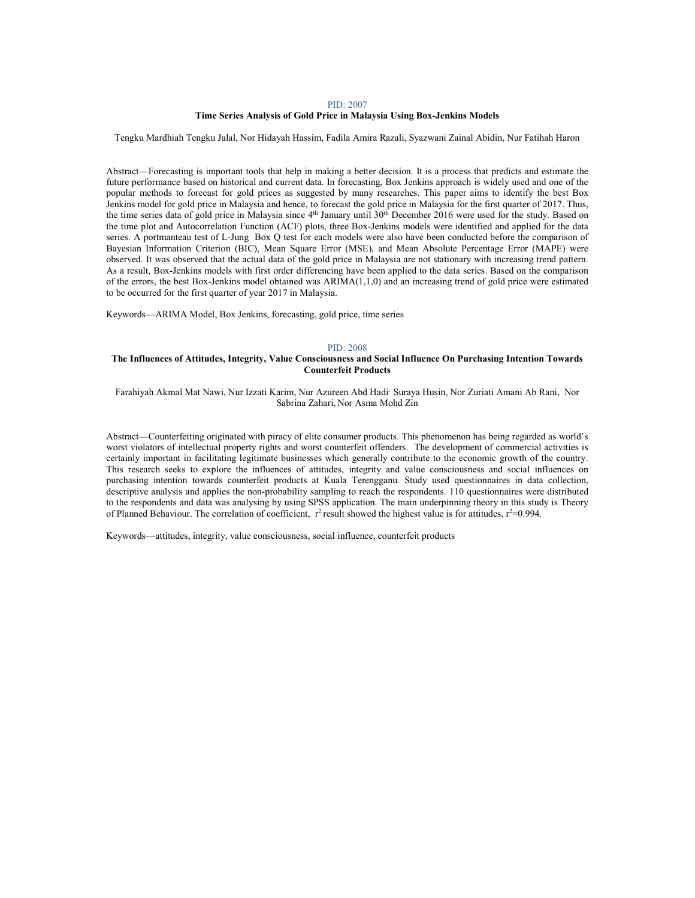#### Time Series Analysis of Gold Price in Malaysia Using Box-Jenkins Models

Tengku Mardhiah Tengku Jalal, Nor Hidayah Hassim, Fadila Amira Razali, Syazwani Zainal Abidin, Nur Fatihah Haron

Abstract—Forecasting is important tools that help in making a better decision. It is a process that predicts and estimate the future performance based on historical and current data. In forecasting, Box Jenkins approach is widely used and one of the popular methods to forecast for gold prices as suggested by many researches. This paper aims to identify the best Box Jenkins model for gold price in Malaysia and hence, to forecast the gold price in Malaysia for the first quarter of 2017. Thus, the time series data of gold price in Malaysia since 4<sup>th</sup> January until 30<sup>th</sup> December 2016 were used for the study. Based on the time plot and Autocorrelation Function (ACF) plots, three Box-Jenkins models were identified and applied for the data series. A portmanteau test of L-Jung Box Q test for each models were also have been conducted before the comparison of Bayesian Information Criterion (BIC), Mean Square Error (MSE), and Mean Absolute Percentage Error (MAPE) were observed. It was observed that the actual data of the gold price in Malaysia are not stationary with increasing trend pattern. As a result, Box-Jenkins models with first order differencing have been applied to the data series. Based on the comparison of the errors, the best Box-Jenkins model obtained was ARIMA(1,1,0) and an increasing trend of gold price were estimated to be occurred for the first quarter of year 2017 in Malaysia.

Keywords—ARIMA Model, Box Jenkins, forecasting, gold price, time series

## PID: 2008

## The Influences of Attitudes, Integrity, Value Consciousness and Social Influence On Purchasing Intention Towards Counterfeit Products

Farahiyah Akmal Mat Nawi, Nur Izzati Karim, Nur Azureen Abd Hadi, Suraya Husin, Nor Zuriati Amani Ab Rani, Nor Sabrina Zahari, Nor Asma Mohd Zin

Abstract—Counterfeiting originated with piracy of elite consumer products. This phenomenon has being regarded as world's worst violators of intellectual property rights and worst counterfeit offenders. The development of commercial activities is certainly important in facilitating legitimate businesses which generally contribute to the economic growth of the country. This research seeks to explore the influences of attitudes, integrity and value consciousness and social influences on purchasing intention towards counterfeit products at Kuala Terengganu. Study used questionnaires in data collection, descriptive analysis and applies the non-probability sampling to reach the respondents. 110 questionnaires were distributed to the respondents and data was analysing by using SPSS application. The main underpinning theory in this study is Theory of Planned Behaviour. The correlation of coefficient,  $r^2$  result showed the highest value is for attitudes,  $r^2=0.994$ .

Keywords—attitudes, integrity, value consciousness, social influence, counterfeit products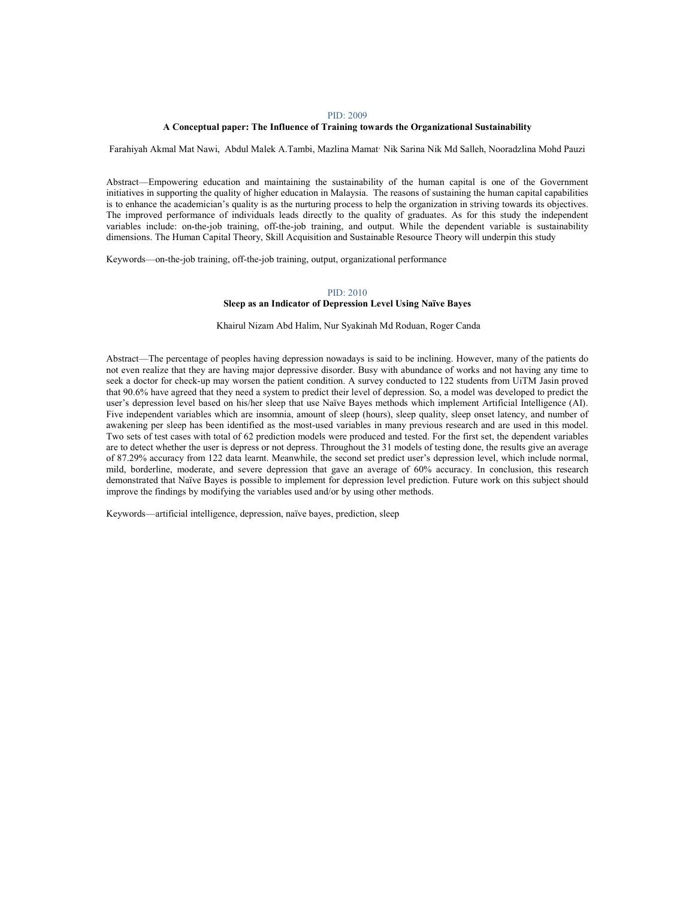# A Conceptual paper: The Influence of Training towards the Organizational Sustainability

Farahiyah Akmal Mat Nawi, Abdul Malek A.Tambi, Mazlina Mamat, Nik Sarina Nik Md Salleh, Nooradzlina Mohd Pauzi

Abstract—Empowering education and maintaining the sustainability of the human capital is one of the Government initiatives in supporting the quality of higher education in Malaysia. The reasons of sustaining the human capital capabilities is to enhance the academician's quality is as the nurturing process to help the organization in striving towards its objectives. The improved performance of individuals leads directly to the quality of graduates. As for this study the independent variables include: on-the-job training, off-the-job training, and output. While the dependent variable is sustainability dimensions. The Human Capital Theory, Skill Acquisition and Sustainable Resource Theory will underpin this study

Keywords—on-the-job training, off-the-job training, output, organizational performance

# PID: 2010

## Sleep as an Indicator of Depression Level Using Naïve Bayes

Khairul Nizam Abd Halim, Nur Syakinah Md Roduan, Roger Canda

Abstract—The percentage of peoples having depression nowadays is said to be inclining. However, many of the patients do not even realize that they are having major depressive disorder. Busy with abundance of works and not having any time to seek a doctor for check-up may worsen the patient condition. A survey conducted to 122 students from UiTM Jasin proved that 90.6% have agreed that they need a system to predict their level of depression. So, a model was developed to predict the user's depression level based on his/her sleep that use Naïve Bayes methods which implement Artificial Intelligence (AI). Five independent variables which are insomnia, amount of sleep (hours), sleep quality, sleep onset latency, and number of awakening per sleep has been identified as the most-used variables in many previous research and are used in this model. Two sets of test cases with total of 62 prediction models were produced and tested. For the first set, the dependent variables are to detect whether the user is depress or not depress. Throughout the 31 models of testing done, the results give an average of 87.29% accuracy from 122 data learnt. Meanwhile, the second set predict user's depression level, which include normal, mild, borderline, moderate, and severe depression that gave an average of 60% accuracy. In conclusion, this research demonstrated that Naïve Bayes is possible to implement for depression level prediction. Future work on this subject should improve the findings by modifying the variables used and/or by using other methods.

Keywords—artificial intelligence, depression, naïve bayes, prediction, sleep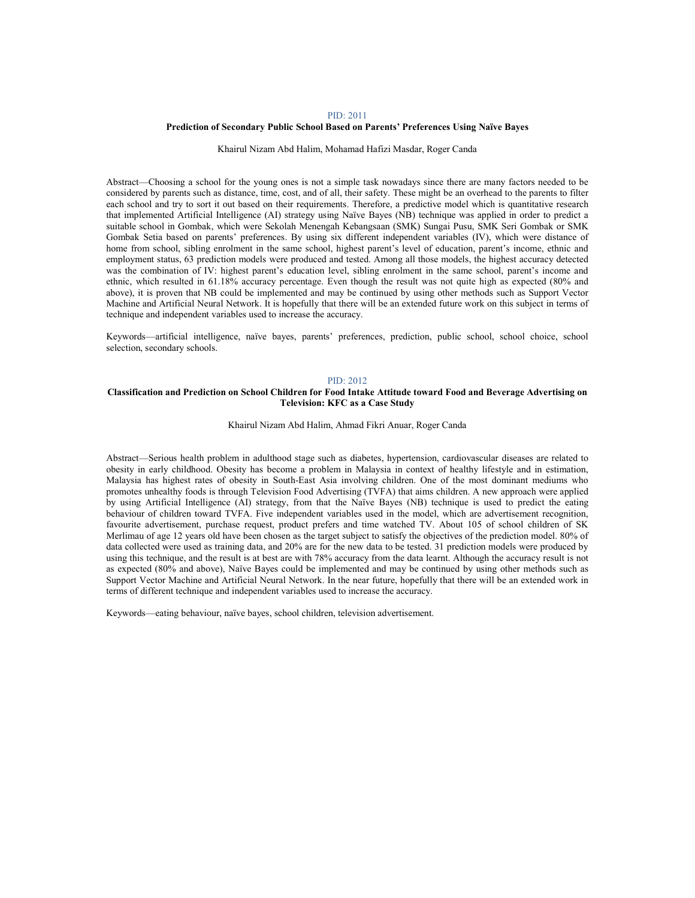# Prediction of Secondary Public School Based on Parents' Preferences Using Naïve Bayes

### Khairul Nizam Abd Halim, Mohamad Hafizi Masdar, Roger Canda

Abstract—Choosing a school for the young ones is not a simple task nowadays since there are many factors needed to be considered by parents such as distance, time, cost, and of all, their safety. These might be an overhead to the parents to filter each school and try to sort it out based on their requirements. Therefore, a predictive model which is quantitative research that implemented Artificial Intelligence (AI) strategy using Naïve Bayes (NB) technique was applied in order to predict a suitable school in Gombak, which were Sekolah Menengah Kebangsaan (SMK) Sungai Pusu, SMK Seri Gombak or SMK Gombak Setia based on parents' preferences. By using six different independent variables (IV), which were distance of home from school, sibling enrolment in the same school, highest parent's level of education, parent's income, ethnic and employment status, 63 prediction models were produced and tested. Among all those models, the highest accuracy detected was the combination of IV: highest parent's education level, sibling enrolment in the same school, parent's income and ethnic, which resulted in 61.18% accuracy percentage. Even though the result was not quite high as expected (80% and above), it is proven that NB could be implemented and may be continued by using other methods such as Support Vector Machine and Artificial Neural Network. It is hopefully that there will be an extended future work on this subject in terms of technique and independent variables used to increase the accuracy.

Keywords—artificial intelligence, naïve bayes, parents' preferences, prediction, public school, school choice, school selection, secondary schools.

## PID: 2012

# Classification and Prediction on School Children for Food Intake Attitude toward Food and Beverage Advertising on Television: KFC as a Case Study

Khairul Nizam Abd Halim, Ahmad Fikri Anuar, Roger Canda

Abstract—Serious health problem in adulthood stage such as diabetes, hypertension, cardiovascular diseases are related to obesity in early childhood. Obesity has become a problem in Malaysia in context of healthy lifestyle and in estimation, Malaysia has highest rates of obesity in South-East Asia involving children. One of the most dominant mediums who promotes unhealthy foods is through Television Food Advertising (TVFA) that aims children. A new approach were applied by using Artificial Intelligence (AI) strategy, from that the Naïve Bayes (NB) technique is used to predict the eating behaviour of children toward TVFA. Five independent variables used in the model, which are advertisement recognition, favourite advertisement, purchase request, product prefers and time watched TV. About 105 of school children of SK Merlimau of age 12 years old have been chosen as the target subject to satisfy the objectives of the prediction model. 80% of data collected were used as training data, and 20% are for the new data to be tested. 31 prediction models were produced by using this technique, and the result is at best are with 78% accuracy from the data learnt. Although the accuracy result is not as expected (80% and above), Naïve Bayes could be implemented and may be continued by using other methods such as Support Vector Machine and Artificial Neural Network. In the near future, hopefully that there will be an extended work in terms of different technique and independent variables used to increase the accuracy.

Keywords—eating behaviour, naïve bayes, school children, television advertisement.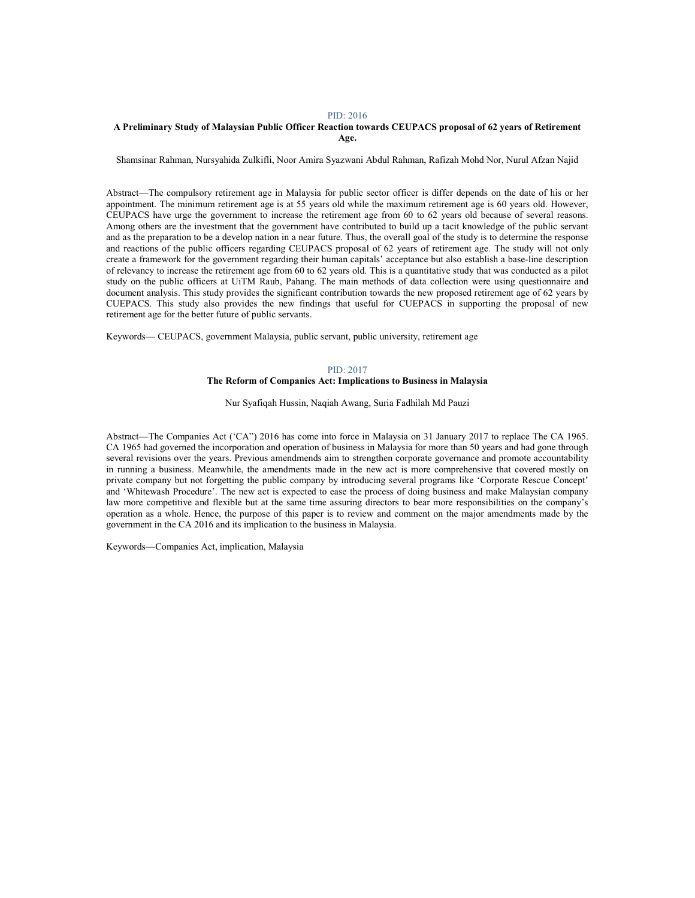# A Preliminary Study of Malaysian Public Officer Reaction towards CEUPACS proposal of 62 years of Retirement Age.

Shamsinar Rahman, Nursyahida Zulkifli, Noor Amira Syazwani Abdul Rahman, Rafizah Mohd Nor, Nurul Afzan Najid

Abstract—The compulsory retirement age in Malaysia for public sector officer is differ depends on the date of his or her appointment. The minimum retirement age is at 55 years old while the maximum retirement age is 60 years old. However, CEUPACS have urge the government to increase the retirement age from 60 to 62 years old because of several reasons. Among others are the investment that the government have contributed to build up a tacit knowledge of the public servant and as the preparation to be a develop nation in a near future. Thus, the overall goal of the study is to determine the response and reactions of the public officers regarding CEUPACS proposal of 62 years of retirement age. The study will not only create a framework for the government regarding their human capitals' acceptance but also establish a base-line description of relevancy to increase the retirement age from 60 to 62 years old. This is a quantitative study that was conducted as a pilot study on the public officers at UiTM Raub, Pahang. The main methods of data collection were using questionnaire and document analysis. This study provides the significant contribution towards the new proposed retirement age of 62 years by CUEPACS. This study also provides the new findings that useful for CUEPACS in supporting the proposal of new retirement age for the better future of public servants.

Keywords— CEUPACS, government Malaysia, public servant, public university, retirement age

### PID: 2017 The Reform of Companies Act: Implications to Business in Malaysia

Nur Syafiqah Hussin, Naqiah Awang, Suria Fadhilah Md Pauzi

Abstract—The Companies Act ('CA") 2016 has come into force in Malaysia on 31 January 2017 to replace The CA 1965. CA 1965 had governed the incorporation and operation of business in Malaysia for more than 50 years and had gone through several revisions over the years. Previous amendmends aim to strengthen corporate governance and promote accountability in running a business. Meanwhile, the amendments made in the new act is more comprehensive that covered mostly on private company but not forgetting the public company by introducing several programs like 'Corporate Rescue Concept' and 'Whitewash Procedure'. The new act is expected to ease the process of doing business and make Malaysian company law more competitive and flexible but at the same time assuring directors to bear more responsibilities on the company's operation as a whole. Hence, the purpose of this paper is to review and comment on the major amendments made by the government in the CA 2016 and its implication to the business in Malaysia.

Keywords—Companies Act, implication, Malaysia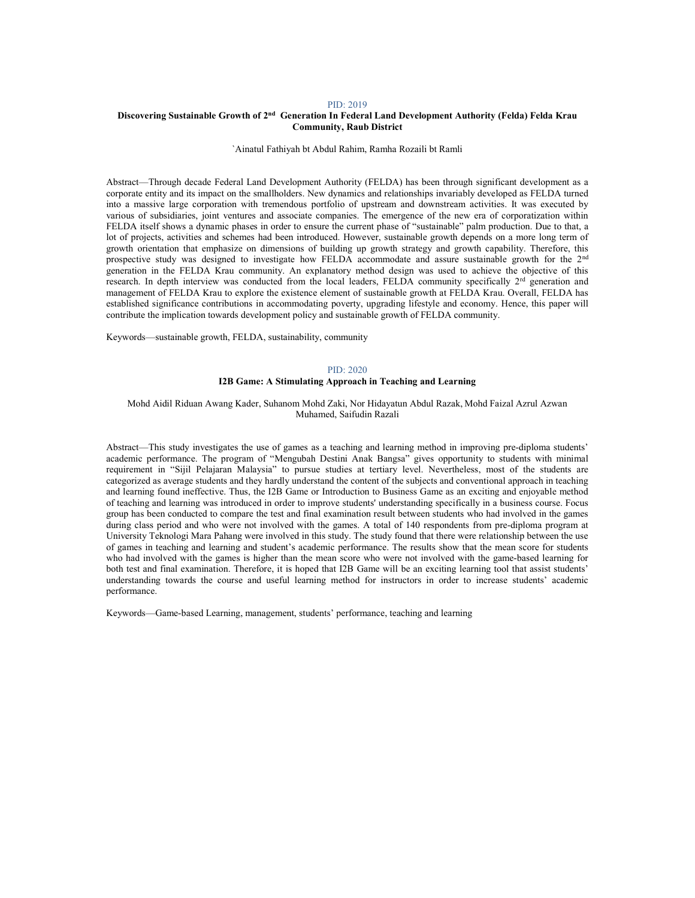# Discovering Sustainable Growth of 2<sup>nd</sup> Generation In Federal Land Development Authority (Felda) Felda Krau Community, Raub District

`Ainatul Fathiyah bt Abdul Rahim, Ramha Rozaili bt Ramli

Abstract—Through decade Federal Land Development Authority (FELDA) has been through significant development as a corporate entity and its impact on the smallholders. New dynamics and relationships invariably developed as FELDA turned into a massive large corporation with tremendous portfolio of upstream and downstream activities. It was executed by various of subsidiaries, joint ventures and associate companies. The emergence of the new era of corporatization within FELDA itself shows a dynamic phases in order to ensure the current phase of "sustainable" palm production. Due to that, a lot of projects, activities and schemes had been introduced. However, sustainable growth depends on a more long term of growth orientation that emphasize on dimensions of building up growth strategy and growth capability. Therefore, this prospective study was designed to investigate how FELDA accommodate and assure sustainable growth for the 2nd generation in the FELDA Krau community. An explanatory method design was used to achieve the objective of this research. In depth interview was conducted from the local leaders, FELDA community specifically 2<sup>rd</sup> generation and management of FELDA Krau to explore the existence element of sustainable growth at FELDA Krau. Overall, FELDA has established significance contributions in accommodating poverty, upgrading lifestyle and economy. Hence, this paper will contribute the implication towards development policy and sustainable growth of FELDA community.

Keywords—sustainable growth, FELDA, sustainability, community

# PID: 2020

# I2B Game: A Stimulating Approach in Teaching and Learning

Mohd Aidil Riduan Awang Kader, Suhanom Mohd Zaki, Nor Hidayatun Abdul Razak, Mohd Faizal Azrul Azwan Muhamed, Saifudin Razali

Abstract—This study investigates the use of games as a teaching and learning method in improving pre-diploma students' academic performance. The program of "Mengubah Destini Anak Bangsa" gives opportunity to students with minimal requirement in "Sijil Pelajaran Malaysia" to pursue studies at tertiary level. Nevertheless, most of the students are categorized as average students and they hardly understand the content of the subjects and conventional approach in teaching and learning found ineffective. Thus, the I2B Game or Introduction to Business Game as an exciting and enjoyable method of teaching and learning was introduced in order to improve students' understanding specifically in a business course. Focus group has been conducted to compare the test and final examination result between students who had involved in the games during class period and who were not involved with the games. A total of 140 respondents from pre-diploma program at University Teknologi Mara Pahang were involved in this study. The study found that there were relationship between the use of games in teaching and learning and student's academic performance. The results show that the mean score for students who had involved with the games is higher than the mean score who were not involved with the game-based learning for both test and final examination. Therefore, it is hoped that I2B Game will be an exciting learning tool that assist students' understanding towards the course and useful learning method for instructors in order to increase students' academic performance.

Keywords—Game-based Learning, management, students' performance, teaching and learning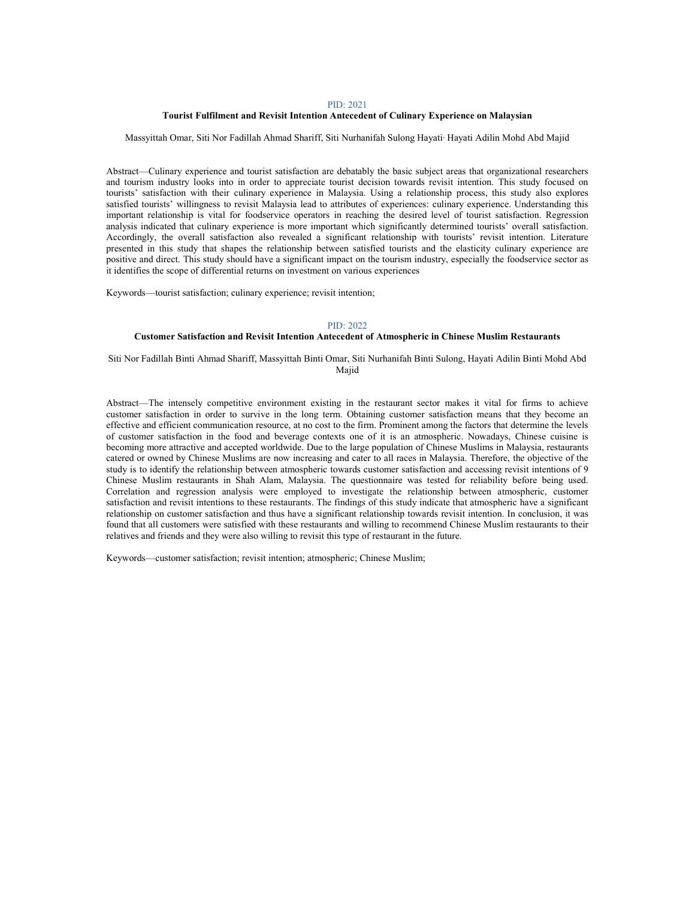### Tourist Fulfilment and Revisit Intention Antecedent of Culinary Experience on Malaysian

### Massyittah Omar, Siti Nor Fadillah Ahmad Shariff, Siti Nurhanifah Sulong Hayati, Hayati Adilin Mohd Abd Majid

Abstract—Culinary experience and tourist satisfaction are debatably the basic subject areas that organizational researchers and tourism industry looks into in order to appreciate tourist decision towards revisit intention. This study focused on tourists' satisfaction with their culinary experience in Malaysia. Using a relationship process, this study also explores satisfied tourists' willingness to revisit Malaysia lead to attributes of experiences: culinary experience. Understanding this important relationship is vital for foodservice operators in reaching the desired level of tourist satisfaction. Regression analysis indicated that culinary experience is more important which significantly determined tourists' overall satisfaction. Accordingly, the overall satisfaction also revealed a significant relationship with tourists' revisit intention. Literature presented in this study that shapes the relationship between satisfied tourists and the elasticity culinary experience are positive and direct. This study should have a significant impact on the tourism industry, especially the foodservice sector as it identifies the scope of differential returns on investment on various experiences

Keywords—tourist satisfaction; culinary experience; revisit intention;

### PID: 2022

## Customer Satisfaction and Revisit Intention Antecedent of Atmospheric in Chinese Muslim Restaurants

Siti Nor Fadillah Binti Ahmad Shariff, Massyittah Binti Omar, Siti Nurhanifah Binti Sulong, Hayati Adilin Binti Mohd Abd Majid

Abstract—The intensely competitive environment existing in the restaurant sector makes it vital for firms to achieve customer satisfaction in order to survive in the long term. Obtaining customer satisfaction means that they become an effective and efficient communication resource, at no cost to the firm. Prominent among the factors that determine the levels of customer satisfaction in the food and beverage contexts one of it is an atmospheric. Nowadays, Chinese cuisine is becoming more attractive and accepted worldwide. Due to the large population of Chinese Muslims in Malaysia, restaurants catered or owned by Chinese Muslims are now increasing and cater to all races in Malaysia. Therefore, the objective of the study is to identify the relationship between atmospheric towards customer satisfaction and accessing revisit intentions of 9 Chinese Muslim restaurants in Shah Alam, Malaysia. The questionnaire was tested for reliability before being used. Correlation and regression analysis were employed to investigate the relationship between atmospheric, customer satisfaction and revisit intentions to these restaurants. The findings of this study indicate that atmospheric have a significant relationship on customer satisfaction and thus have a significant relationship towards revisit intention. In conclusion, it was found that all customers were satisfied with these restaurants and willing to recommend Chinese Muslim restaurants to their relatives and friends and they were also willing to revisit this type of restaurant in the future.

Keywords—customer satisfaction; revisit intention; atmospheric; Chinese Muslim;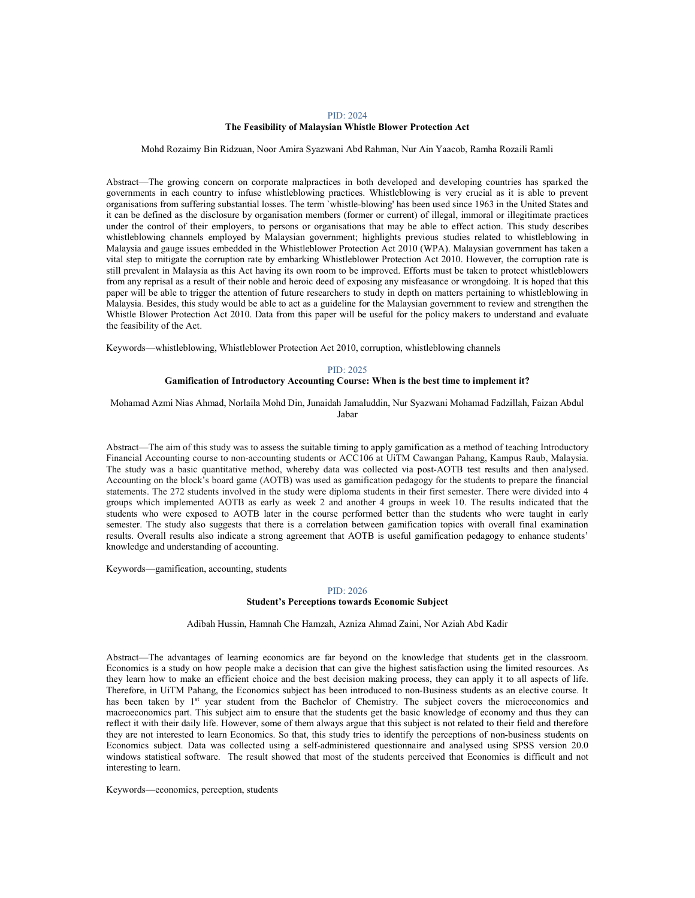## PID: 2024 The Feasibility of Malaysian Whistle Blower Protection Act

Mohd Rozaimy Bin Ridzuan, Noor Amira Syazwani Abd Rahman, Nur Ain Yaacob, Ramha Rozaili Ramli

Abstract—The growing concern on corporate malpractices in both developed and developing countries has sparked the governments in each country to infuse whistleblowing practices. Whistleblowing is very crucial as it is able to prevent organisations from suffering substantial losses. The term `whistle-blowing' has been used since 1963 in the United States and it can be defined as the disclosure by organisation members (former or current) of illegal, immoral or illegitimate practices under the control of their employers, to persons or organisations that may be able to effect action. This study describes whistleblowing channels employed by Malaysian government; highlights previous studies related to whistleblowing in Malaysia and gauge issues embedded in the Whistleblower Protection Act 2010 (WPA). Malaysian government has taken a vital step to mitigate the corruption rate by embarking Whistleblower Protection Act 2010. However, the corruption rate is still prevalent in Malaysia as this Act having its own room to be improved. Efforts must be taken to protect whistleblowers from any reprisal as a result of their noble and heroic deed of exposing any misfeasance or wrongdoing. It is hoped that this paper will be able to trigger the attention of future researchers to study in depth on matters pertaining to whistleblowing in Malaysia. Besides, this study would be able to act as a guideline for the Malaysian government to review and strengthen the Whistle Blower Protection Act 2010. Data from this paper will be useful for the policy makers to understand and evaluate the feasibility of the Act.

Keywords—whistleblowing, Whistleblower Protection Act 2010, corruption, whistleblowing channels

### PID: 2025 Gamification of Introductory Accounting Course: When is the best time to implement it?

Mohamad Azmi Nias Ahmad, Norlaila Mohd Din, Junaidah Jamaluddin, Nur Syazwani Mohamad Fadzillah, Faizan Abdul Jabar

Abstract—The aim of this study was to assess the suitable timing to apply gamification as a method of teaching Introductory Financial Accounting course to non-accounting students or ACC106 at UiTM Cawangan Pahang, Kampus Raub, Malaysia. The study was a basic quantitative method, whereby data was collected via post-AOTB test results and then analysed. Accounting on the block's board game (AOTB) was used as gamification pedagogy for the students to prepare the financial statements. The 272 students involved in the study were diploma students in their first semester. There were divided into 4 groups which implemented AOTB as early as week 2 and another 4 groups in week 10. The results indicated that the students who were exposed to AOTB later in the course performed better than the students who were taught in early semester. The study also suggests that there is a correlation between gamification topics with overall final examination results. Overall results also indicate a strong agreement that AOTB is useful gamification pedagogy to enhance students' knowledge and understanding of accounting.

Keywords—gamification, accounting, students

## PID: 2026

# Student's Perceptions towards Economic Subject

Adibah Hussin, Hamnah Che Hamzah, Azniza Ahmad Zaini, Nor Aziah Abd Kadir

Abstract—The advantages of learning economics are far beyond on the knowledge that students get in the classroom. Economics is a study on how people make a decision that can give the highest satisfaction using the limited resources. As they learn how to make an efficient choice and the best decision making process, they can apply it to all aspects of life. Therefore, in UiTM Pahang, the Economics subject has been introduced to non-Business students as an elective course. It has been taken by 1<sup>st</sup> year student from the Bachelor of Chemistry. The subject covers the microeconomics and macroeconomics part. This subject aim to ensure that the students get the basic knowledge of economy and thus they can reflect it with their daily life. However, some of them always argue that this subject is not related to their field and therefore they are not interested to learn Economics. So that, this study tries to identify the perceptions of non-business students on Economics subject. Data was collected using a self-administered questionnaire and analysed using SPSS version 20.0 windows statistical software. The result showed that most of the students perceived that Economics is difficult and not interesting to learn.

Keywords—economics, perception, students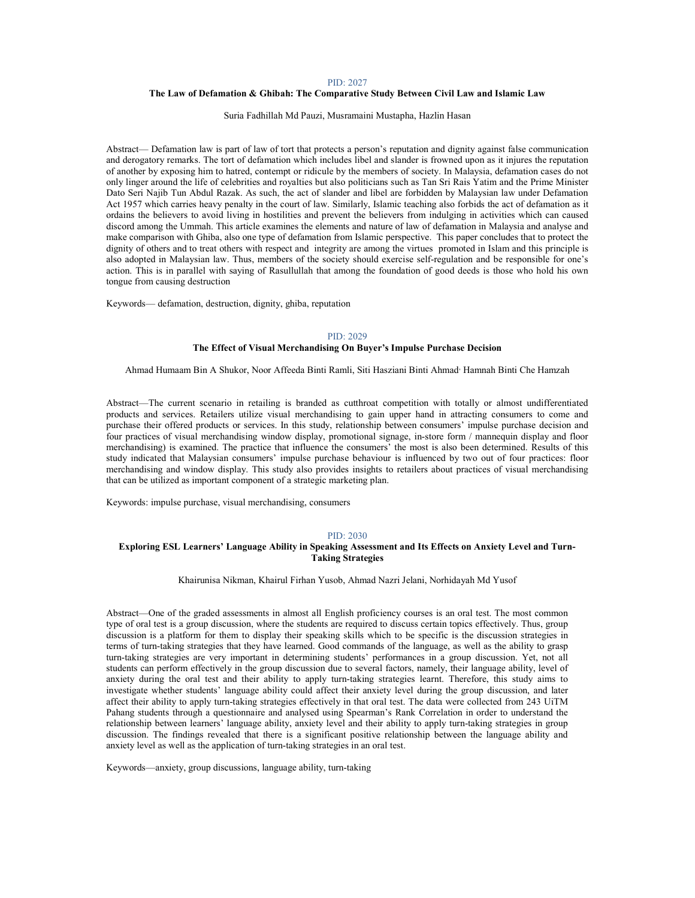# The Law of Defamation & Ghibah: The Comparative Study Between Civil Law and Islamic Law

#### Suria Fadhillah Md Pauzi, Musramaini Mustapha, Hazlin Hasan

Abstract— Defamation law is part of law of tort that protects a person's reputation and dignity against false communication and derogatory remarks. The tort of defamation which includes libel and slander is frowned upon as it injures the reputation of another by exposing him to hatred, contempt or ridicule by the members of society. In Malaysia, defamation cases do not only linger around the life of celebrities and royalties but also politicians such as Tan Sri Rais Yatim and the Prime Minister Dato Seri Najib Tun Abdul Razak. As such, the act of slander and libel are forbidden by Malaysian law under Defamation Act 1957 which carries heavy penalty in the court of law. Similarly, Islamic teaching also forbids the act of defamation as it ordains the believers to avoid living in hostilities and prevent the believers from indulging in activities which can caused discord among the Ummah. This article examines the elements and nature of law of defamation in Malaysia and analyse and make comparison with Ghiba, also one type of defamation from Islamic perspective. This paper concludes that to protect the dignity of others and to treat others with respect and integrity are among the virtues promoted in Islam and this principle is also adopted in Malaysian law. Thus, members of the society should exercise self-regulation and be responsible for one's action. This is in parallel with saying of Rasullullah that among the foundation of good deeds is those who hold his own tongue from causing destruction

Keywords— defamation, destruction, dignity, ghiba, reputation

#### PID: 2029

# The Effect of Visual Merchandising On Buyer's Impulse Purchase Decision

Ahmad Humaam Bin A Shukor, Noor Affeeda Binti Ramli, Siti Hasziani Binti Ahmad, Hamnah Binti Che Hamzah

Abstract—The current scenario in retailing is branded as cutthroat competition with totally or almost undifferentiated products and services. Retailers utilize visual merchandising to gain upper hand in attracting consumers to come and purchase their offered products or services. In this study, relationship between consumers' impulse purchase decision and four practices of visual merchandising window display, promotional signage, in-store form / mannequin display and floor merchandising) is examined. The practice that influence the consumers' the most is also been determined. Results of this study indicated that Malaysian consumers' impulse purchase behaviour is influenced by two out of four practices: floor merchandising and window display. This study also provides insights to retailers about practices of visual merchandising that can be utilized as important component of a strategic marketing plan.

Keywords: impulse purchase, visual merchandising, consumers

### PID: 2030

# Exploring ESL Learners' Language Ability in Speaking Assessment and Its Effects on Anxiety Level and Turn-Taking Strategies

Khairunisa Nikman, Khairul Firhan Yusob, Ahmad Nazri Jelani, Norhidayah Md Yusof

Abstract—One of the graded assessments in almost all English proficiency courses is an oral test. The most common type of oral test is a group discussion, where the students are required to discuss certain topics effectively. Thus, group discussion is a platform for them to display their speaking skills which to be specific is the discussion strategies in terms of turn-taking strategies that they have learned. Good commands of the language, as well as the ability to grasp turn-taking strategies are very important in determining students' performances in a group discussion. Yet, not all students can perform effectively in the group discussion due to several factors, namely, their language ability, level of anxiety during the oral test and their ability to apply turn-taking strategies learnt. Therefore, this study aims to investigate whether students' language ability could affect their anxiety level during the group discussion, and later affect their ability to apply turn-taking strategies effectively in that oral test. The data were collected from 243 UiTM Pahang students through a questionnaire and analysed using Spearman's Rank Correlation in order to understand the relationship between learners' language ability, anxiety level and their ability to apply turn-taking strategies in group discussion. The findings revealed that there is a significant positive relationship between the language ability and anxiety level as well as the application of turn-taking strategies in an oral test.

Keywords—anxiety, group discussions, language ability, turn-taking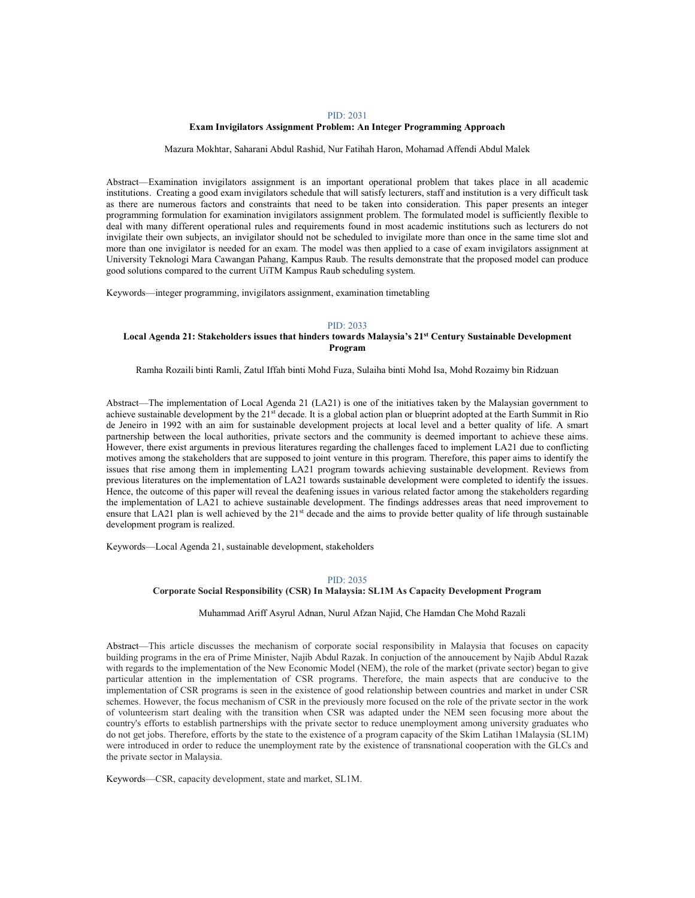### Exam Invigilators Assignment Problem: An Integer Programming Approach

Mazura Mokhtar, Saharani Abdul Rashid, Nur Fatihah Haron, Mohamad Affendi Abdul Malek

Abstract—Examination invigilators assignment is an important operational problem that takes place in all academic institutions. Creating a good exam invigilators schedule that will satisfy lecturers, staff and institution is a very difficult task as there are numerous factors and constraints that need to be taken into consideration. This paper presents an integer programming formulation for examination invigilators assignment problem. The formulated model is sufficiently flexible to deal with many different operational rules and requirements found in most academic institutions such as lecturers do not invigilate their own subjects, an invigilator should not be scheduled to invigilate more than once in the same time slot and more than one invigilator is needed for an exam. The model was then applied to a case of exam invigilators assignment at University Teknologi Mara Cawangan Pahang, Kampus Raub. The results demonstrate that the proposed model can produce good solutions compared to the current UiTM Kampus Raub scheduling system.

Keywords—integer programming, invigilators assignment, examination timetabling

#### PID: 2033

# Local Agenda 21: Stakeholders issues that hinders towards Malaysia's 21st Century Sustainable Development Program

Ramha Rozaili binti Ramli, Zatul Iffah binti Mohd Fuza, Sulaiha binti Mohd Isa, Mohd Rozaimy bin Ridzuan

Abstract—The implementation of Local Agenda 21 (LA21) is one of the initiatives taken by the Malaysian government to achieve sustainable development by the 21<sup>st</sup> decade. It is a global action plan or blueprint adopted at the Earth Summit in Rio de Jeneiro in 1992 with an aim for sustainable development projects at local level and a better quality of life. A smart partnership between the local authorities, private sectors and the community is deemed important to achieve these aims. However, there exist arguments in previous literatures regarding the challenges faced to implement LA21 due to conflicting motives among the stakeholders that are supposed to joint venture in this program. Therefore, this paper aims to identify the issues that rise among them in implementing LA21 program towards achieving sustainable development. Reviews from previous literatures on the implementation of LA21 towards sustainable development were completed to identify the issues. Hence, the outcome of this paper will reveal the deafening issues in various related factor among the stakeholders regarding the implementation of LA21 to achieve sustainable development. The findings addresses areas that need improvement to ensure that LA21 plan is well achieved by the 21<sup>st</sup> decade and the aims to provide better quality of life through sustainable development program is realized.

Keywords—Local Agenda 21, sustainable development, stakeholders

### PID: 2035

# Corporate Social Responsibility (CSR) In Malaysia: SL1M As Capacity Development Program

Muhammad Ariff Asyrul Adnan, Nurul Afzan Najid, Che Hamdan Che Mohd Razali

Abstract—This article discusses the mechanism of corporate social responsibility in Malaysia that focuses on capacity building programs in the era of Prime Minister, Najib Abdul Razak. In conjuction of the annoucement by Najib Abdul Razak with regards to the implementation of the New Economic Model (NEM), the role of the market (private sector) began to give particular attention in the implementation of CSR programs. Therefore, the main aspects that are conducive to the implementation of CSR programs is seen in the existence of good relationship between countries and market in under CSR schemes. However, the focus mechanism of CSR in the previously more focused on the role of the private sector in the work of volunteerism start dealing with the transition when CSR was adapted under the NEM seen focusing more about the country's efforts to establish partnerships with the private sector to reduce unemployment among university graduates who do not get jobs. Therefore, efforts by the state to the existence of a program capacity of the Skim Latihan 1Malaysia (SL1M) were introduced in order to reduce the unemployment rate by the existence of transnational cooperation with the GLCs and the private sector in Malaysia.

Keywords—CSR, capacity development, state and market, SL1M.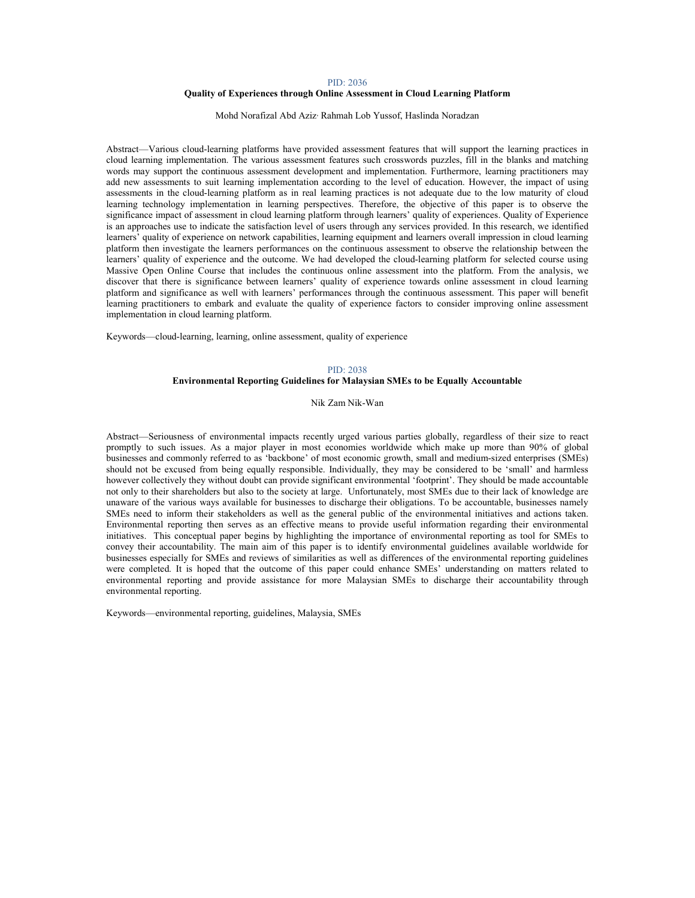# Quality of Experiences through Online Assessment in Cloud Learning Platform

Mohd Norafizal Abd Aziz, Rahmah Lob Yussof, Haslinda Noradzan

Abstract—Various cloud-learning platforms have provided assessment features that will support the learning practices in cloud learning implementation. The various assessment features such crosswords puzzles, fill in the blanks and matching words may support the continuous assessment development and implementation. Furthermore, learning practitioners may add new assessments to suit learning implementation according to the level of education. However, the impact of using assessments in the cloud-learning platform as in real learning practices is not adequate due to the low maturity of cloud learning technology implementation in learning perspectives. Therefore, the objective of this paper is to observe the significance impact of assessment in cloud learning platform through learners' quality of experiences. Quality of Experience is an approaches use to indicate the satisfaction level of users through any services provided. In this research, we identified learners' quality of experience on network capabilities, learning equipment and learners overall impression in cloud learning platform then investigate the learners performances on the continuous assessment to observe the relationship between the learners' quality of experience and the outcome. We had developed the cloud-learning platform for selected course using Massive Open Online Course that includes the continuous online assessment into the platform. From the analysis, we discover that there is significance between learners' quality of experience towards online assessment in cloud learning platform and significance as well with learners' performances through the continuous assessment. This paper will benefit learning practitioners to embark and evaluate the quality of experience factors to consider improving online assessment implementation in cloud learning platform.

Keywords—cloud-learning, learning, online assessment, quality of experience

# PID: 2038

# Environmental Reporting Guidelines for Malaysian SMEs to be Equally Accountable

Nik Zam Nik-Wan

Abstract—Seriousness of environmental impacts recently urged various parties globally, regardless of their size to react promptly to such issues. As a major player in most economies worldwide which make up more than 90% of global businesses and commonly referred to as 'backbone' of most economic growth, small and medium-sized enterprises (SMEs) should not be excused from being equally responsible. Individually, they may be considered to be 'small' and harmless however collectively they without doubt can provide significant environmental 'footprint'. They should be made accountable not only to their shareholders but also to the society at large. Unfortunately, most SMEs due to their lack of knowledge are unaware of the various ways available for businesses to discharge their obligations. To be accountable, businesses namely SMEs need to inform their stakeholders as well as the general public of the environmental initiatives and actions taken. Environmental reporting then serves as an effective means to provide useful information regarding their environmental initiatives. This conceptual paper begins by highlighting the importance of environmental reporting as tool for SMEs to convey their accountability. The main aim of this paper is to identify environmental guidelines available worldwide for businesses especially for SMEs and reviews of similarities as well as differences of the environmental reporting guidelines were completed. It is hoped that the outcome of this paper could enhance SMEs' understanding on matters related to environmental reporting and provide assistance for more Malaysian SMEs to discharge their accountability through environmental reporting.

Keywords—environmental reporting, guidelines, Malaysia, SMEs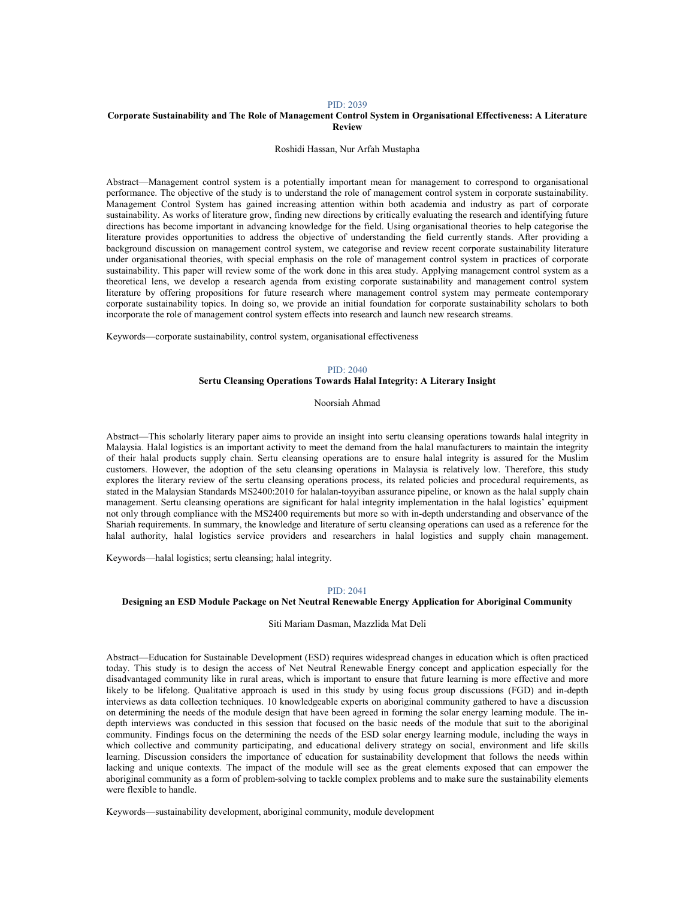### Corporate Sustainability and The Role of Management Control System in Organisational Effectiveness: A Literature Review

Roshidi Hassan, Nur Arfah Mustapha

Abstract—Management control system is a potentially important mean for management to correspond to organisational performance. The objective of the study is to understand the role of management control system in corporate sustainability. Management Control System has gained increasing attention within both academia and industry as part of corporate sustainability. As works of literature grow, finding new directions by critically evaluating the research and identifying future directions has become important in advancing knowledge for the field. Using organisational theories to help categorise the literature provides opportunities to address the objective of understanding the field currently stands. After providing a background discussion on management control system, we categorise and review recent corporate sustainability literature under organisational theories, with special emphasis on the role of management control system in practices of corporate sustainability. This paper will review some of the work done in this area study. Applying management control system as a theoretical lens, we develop a research agenda from existing corporate sustainability and management control system literature by offering propositions for future research where management control system may permeate contemporary corporate sustainability topics. In doing so, we provide an initial foundation for corporate sustainability scholars to both incorporate the role of management control system effects into research and launch new research streams.

Keywords—corporate sustainability, control system, organisational effectiveness

## PID: 2040

# Sertu Cleansing Operations Towards Halal Integrity: A Literary Insight

Noorsiah Ahmad

Abstract—This scholarly literary paper aims to provide an insight into sertu cleansing operations towards halal integrity in Malaysia. Halal logistics is an important activity to meet the demand from the halal manufacturers to maintain the integrity of their halal products supply chain. Sertu cleansing operations are to ensure halal integrity is assured for the Muslim customers. However, the adoption of the setu cleansing operations in Malaysia is relatively low. Therefore, this study explores the literary review of the sertu cleansing operations process, its related policies and procedural requirements, as stated in the Malaysian Standards MS2400:2010 for halalan-toyyiban assurance pipeline, or known as the halal supply chain management. Sertu cleansing operations are significant for halal integrity implementation in the halal logistics' equipment not only through compliance with the MS2400 requirements but more so with in-depth understanding and observance of the Shariah requirements. In summary, the knowledge and literature of sertu cleansing operations can used as a reference for the halal authority, halal logistics service providers and researchers in halal logistics and supply chain management.

Keywords—halal logistics; sertu cleansing; halal integrity.

## PID: 2041

### Designing an ESD Module Package on Net Neutral Renewable Energy Application for Aboriginal Community

### Siti Mariam Dasman, Mazzlida Mat Deli

Abstract—Education for Sustainable Development (ESD) requires widespread changes in education which is often practiced today. This study is to design the access of Net Neutral Renewable Energy concept and application especially for the disadvantaged community like in rural areas, which is important to ensure that future learning is more effective and more likely to be lifelong. Qualitative approach is used in this study by using focus group discussions (FGD) and in-depth interviews as data collection techniques. 10 knowledgeable experts on aboriginal community gathered to have a discussion on determining the needs of the module design that have been agreed in forming the solar energy learning module. The indepth interviews was conducted in this session that focused on the basic needs of the module that suit to the aboriginal community. Findings focus on the determining the needs of the ESD solar energy learning module, including the ways in which collective and community participating, and educational delivery strategy on social, environment and life skills learning. Discussion considers the importance of education for sustainability development that follows the needs within lacking and unique contexts. The impact of the module will see as the great elements exposed that can empower the aboriginal community as a form of problem-solving to tackle complex problems and to make sure the sustainability elements were flexible to handle.

Keywords—sustainability development, aboriginal community, module development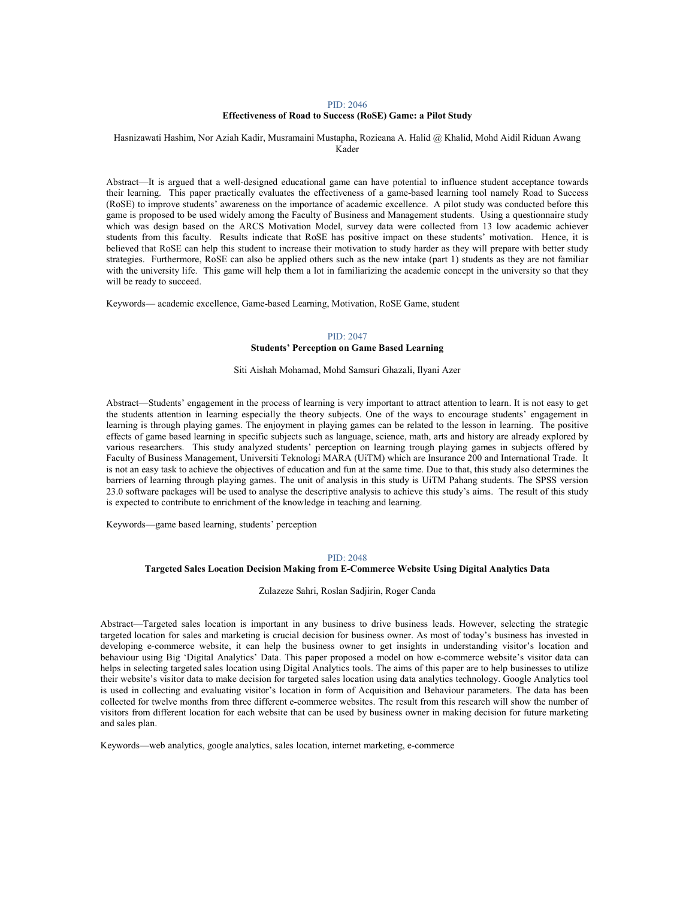# Effectiveness of Road to Success (RoSE) Game: a Pilot Study

# Hasnizawati Hashim, Nor Aziah Kadir, Musramaini Mustapha, Rozieana A. Halid @ Khalid, Mohd Aidil Riduan Awang Kader

Abstract—It is argued that a well-designed educational game can have potential to influence student acceptance towards their learning. This paper practically evaluates the effectiveness of a game-based learning tool namely Road to Success (RoSE) to improve students' awareness on the importance of academic excellence. A pilot study was conducted before this game is proposed to be used widely among the Faculty of Business and Management students. Using a questionnaire study which was design based on the ARCS Motivation Model, survey data were collected from 13 low academic achiever students from this faculty. Results indicate that RoSE has positive impact on these students' motivation. Hence, it is believed that RoSE can help this student to increase their motivation to study harder as they will prepare with better study strategies. Furthermore, RoSE can also be applied others such as the new intake (part 1) students as they are not familiar with the university life. This game will help them a lot in familiarizing the academic concept in the university so that they will be ready to succeed.

Keywords— academic excellence, Game-based Learning, Motivation, RoSE Game, student

# PID: 2047 Students' Perception on Game Based Learning

Siti Aishah Mohamad, Mohd Samsuri Ghazali, Ilyani Azer

Abstract—Students' engagement in the process of learning is very important to attract attention to learn. It is not easy to get the students attention in learning especially the theory subjects. One of the ways to encourage students' engagement in learning is through playing games. The enjoyment in playing games can be related to the lesson in learning. The positive effects of game based learning in specific subjects such as language, science, math, arts and history are already explored by various researchers. This study analyzed students' perception on learning trough playing games in subjects offered by Faculty of Business Management, Universiti Teknologi MARA (UiTM) which are Insurance 200 and International Trade. It is not an easy task to achieve the objectives of education and fun at the same time. Due to that, this study also determines the barriers of learning through playing games. The unit of analysis in this study is UiTM Pahang students. The SPSS version 23.0 software packages will be used to analyse the descriptive analysis to achieve this study's aims. The result of this study is expected to contribute to enrichment of the knowledge in teaching and learning.

Keywords—game based learning, students' perception

#### PID: 2048

# Targeted Sales Location Decision Making from E-Commerce Website Using Digital Analytics Data

Zulazeze Sahri, Roslan Sadjirin, Roger Canda

Abstract—Targeted sales location is important in any business to drive business leads. However, selecting the strategic targeted location for sales and marketing is crucial decision for business owner. As most of today's business has invested in developing e-commerce website, it can help the business owner to get insights in understanding visitor's location and behaviour using Big 'Digital Analytics' Data. This paper proposed a model on how e-commerce website's visitor data can helps in selecting targeted sales location using Digital Analytics tools. The aims of this paper are to help businesses to utilize their website's visitor data to make decision for targeted sales location using data analytics technology. Google Analytics tool is used in collecting and evaluating visitor's location in form of Acquisition and Behaviour parameters. The data has been collected for twelve months from three different e-commerce websites. The result from this research will show the number of visitors from different location for each website that can be used by business owner in making decision for future marketing and sales plan.

Keywords—web analytics, google analytics, sales location, internet marketing, e-commerce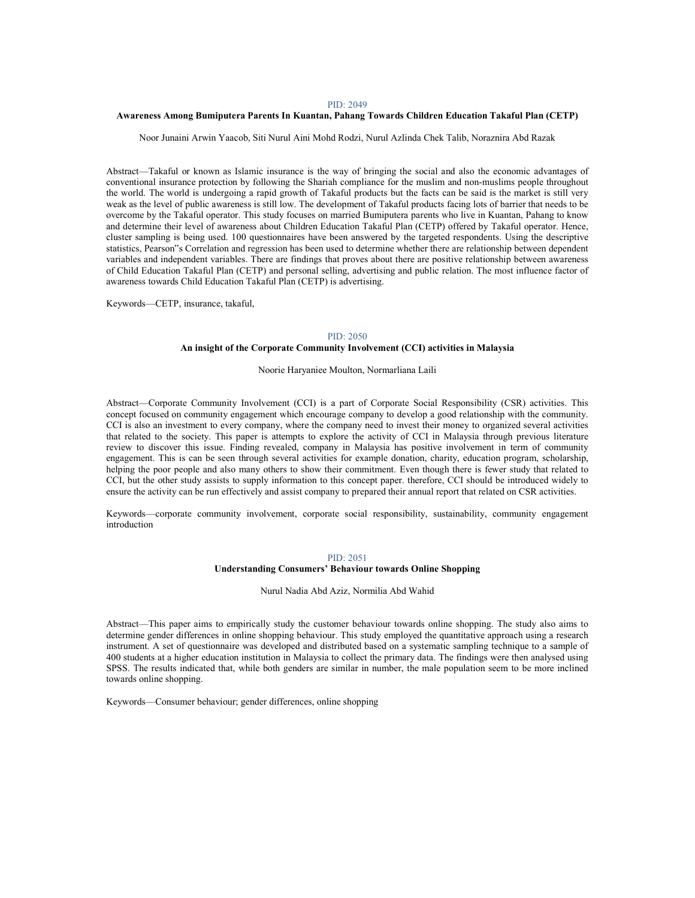#### Awareness Among Bumiputera Parents In Kuantan, Pahang Towards Children Education Takaful Plan (CETP)

Noor Junaini Arwin Yaacob, Siti Nurul Aini Mohd Rodzi, Nurul Azlinda Chek Talib, Noraznira Abd Razak

Abstract—Takaful or known as Islamic insurance is the way of bringing the social and also the economic advantages of conventional insurance protection by following the Shariah compliance for the muslim and non-muslims people throughout the world. The world is undergoing a rapid growth of Takaful products but the facts can be said is the market is still very weak as the level of public awareness is still low. The development of Takaful products facing lots of barrier that needs to be overcome by the Takaful operator. This study focuses on married Bumiputera parents who live in Kuantan, Pahang to know and determine their level of awareness about Children Education Takaful Plan (CETP) offered by Takaful operator. Hence, cluster sampling is being used. 100 questionnaires have been answered by the targeted respondents. Using the descriptive statistics, Pearson"s Correlation and regression has been used to determine whether there are relationship between dependent variables and independent variables. There are findings that proves about there are positive relationship between awareness of Child Education Takaful Plan (CETP) and personal selling, advertising and public relation. The most influence factor of awareness towards Child Education Takaful Plan (CETP) is advertising.

Keywords—CETP, insurance, takaful,

#### PID: 2050

# An insight of the Corporate Community Involvement (CCI) activities in Malaysia

Noorie Haryaniee Moulton, Normarliana Laili

Abstract—Corporate Community Involvement (CCI) is a part of Corporate Social Responsibility (CSR) activities. This concept focused on community engagement which encourage company to develop a good relationship with the community. CCI is also an investment to every company, where the company need to invest their money to organized several activities that related to the society. This paper is attempts to explore the activity of CCI in Malaysia through previous literature review to discover this issue. Finding revealed, company in Malaysia has positive involvement in term of community engagement. This is can be seen through several activities for example donation, charity, education program, scholarship, helping the poor people and also many others to show their commitment. Even though there is fewer study that related to CCI, but the other study assists to supply information to this concept paper. therefore, CCI should be introduced widely to ensure the activity can be run effectively and assist company to prepared their annual report that related on CSR activities.

Keywords—corporate community involvement, corporate social responsibility, sustainability, community engagement introduction

#### PID: 2051

# Understanding Consumers' Behaviour towards Online Shopping

Nurul Nadia Abd Aziz, Normilia Abd Wahid

Abstract—This paper aims to empirically study the customer behaviour towards online shopping. The study also aims to determine gender differences in online shopping behaviour. This study employed the quantitative approach using a research instrument. A set of questionnaire was developed and distributed based on a systematic sampling technique to a sample of 400 students at a higher education institution in Malaysia to collect the primary data. The findings were then analysed using SPSS. The results indicated that, while both genders are similar in number, the male population seem to be more inclined towards online shopping.

Keywords—Consumer behaviour; gender differences, online shopping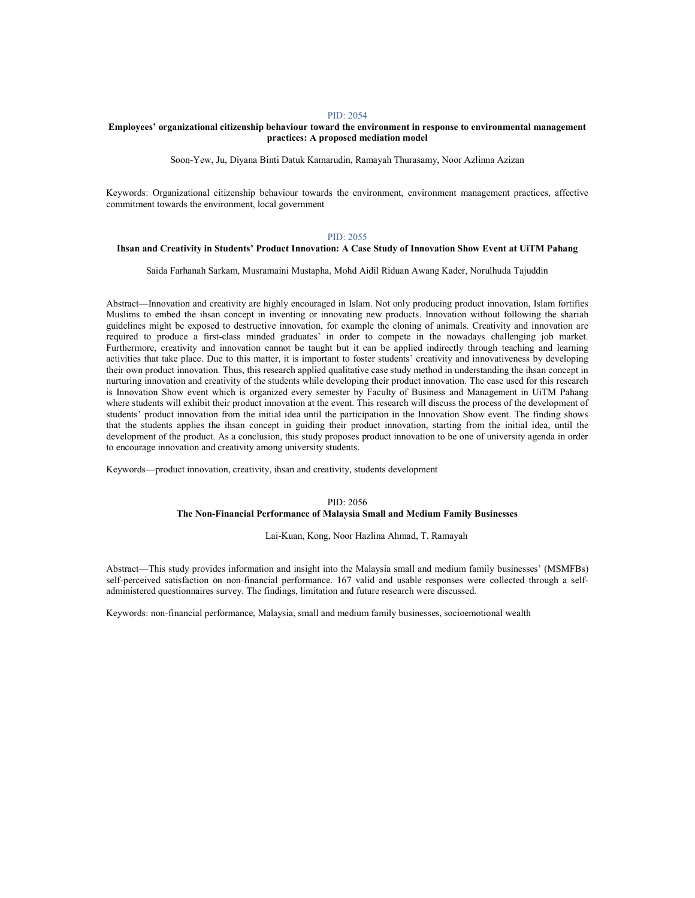# Employees' organizational citizenship behaviour toward the environment in response to environmental management practices: A proposed mediation model

Soon-Yew, Ju, Diyana Binti Datuk Kamarudin, Ramayah Thurasamy, Noor Azlinna Azizan

Keywords: Organizational citizenship behaviour towards the environment, environment management practices, affective commitment towards the environment, local government

### PID: 2055

# Ihsan and Creativity in Students' Product Innovation: A Case Study of Innovation Show Event at UiTM Pahang

Saida Farhanah Sarkam, Musramaini Mustapha, Mohd Aidil Riduan Awang Kader, Norulhuda Tajuddin

Abstract—Innovation and creativity are highly encouraged in Islam. Not only producing product innovation, Islam fortifies Muslims to embed the ihsan concept in inventing or innovating new products. Innovation without following the shariah guidelines might be exposed to destructive innovation, for example the cloning of animals. Creativity and innovation are required to produce a first-class minded graduates' in order to compete in the nowadays challenging job market. Furthermore, creativity and innovation cannot be taught but it can be applied indirectly through teaching and learning activities that take place. Due to this matter, it is important to foster students' creativity and innovativeness by developing their own product innovation. Thus, this research applied qualitative case study method in understanding the ihsan concept in nurturing innovation and creativity of the students while developing their product innovation. The case used for this research is Innovation Show event which is organized every semester by Faculty of Business and Management in UiTM Pahang where students will exhibit their product innovation at the event. This research will discuss the process of the development of students' product innovation from the initial idea until the participation in the Innovation Show event. The finding shows that the students applies the ihsan concept in guiding their product innovation, starting from the initial idea, until the development of the product. As a conclusion, this study proposes product innovation to be one of university agenda in order to encourage innovation and creativity among university students.

Keywords—product innovation, creativity, ihsan and creativity, students development

### PID: 2056 The Non-Financial Performance of Malaysia Small and Medium Family Businesses

Lai-Kuan, Kong, Noor Hazlina Ahmad, T. Ramayah

Abstract—This study provides information and insight into the Malaysia small and medium family businesses' (MSMFBs) self-perceived satisfaction on non-financial performance. 167 valid and usable responses were collected through a selfadministered questionnaires survey. The findings, limitation and future research were discussed.

Keywords: non-financial performance, Malaysia, small and medium family businesses, socioemotional wealth